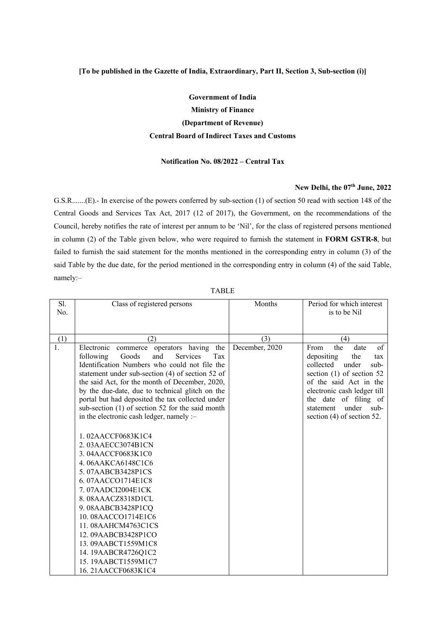## **[To be published in the Gazette of India, Extraordinary, Part II, Section 3, Sub-section (i)]**

## **Government of India Ministry of Finance (Department of Revenue) Central Board of Indirect Taxes and Customs**

## **Notification No. 08/2022 – Central Tax**

## **New Delhi, the 07th June, 2022**

G.S.R.......(E).- In exercise of the powers conferred by sub-section (1) of section 50 read with section 148 of the Central Goods and Services Tax Act, 2017 (12 of 2017), the Government, on the recommendations of the Council, hereby notifies the rate of interest per annum to be 'Nil', for the class of registered persons mentioned in column (2) of the Table given below, who were required to furnish the statement in **FORM GSTR-8**, but failed to furnish the said statement for the months mentioned in the corresponding entry in column (3) of the said Table by the due date, for the period mentioned in the corresponding entry in column (4) of the said Table, namely:–

| Sl. | Class of registered persons                                                                                                                                                                                                                                                                                                                                                                                                                                                                                      | Months         | Period for which interest                                                                                                                                                                                                                                     |
|-----|------------------------------------------------------------------------------------------------------------------------------------------------------------------------------------------------------------------------------------------------------------------------------------------------------------------------------------------------------------------------------------------------------------------------------------------------------------------------------------------------------------------|----------------|---------------------------------------------------------------------------------------------------------------------------------------------------------------------------------------------------------------------------------------------------------------|
| No. |                                                                                                                                                                                                                                                                                                                                                                                                                                                                                                                  |                | is to be Nil                                                                                                                                                                                                                                                  |
|     |                                                                                                                                                                                                                                                                                                                                                                                                                                                                                                                  |                |                                                                                                                                                                                                                                                               |
|     |                                                                                                                                                                                                                                                                                                                                                                                                                                                                                                                  |                |                                                                                                                                                                                                                                                               |
| (1) | (2)                                                                                                                                                                                                                                                                                                                                                                                                                                                                                                              | (3)            | (4)                                                                                                                                                                                                                                                           |
| 1.  | Electronic<br>the<br>commerce<br>operators having<br>following<br>Goods<br>and<br><b>Services</b><br>Tax<br>Identification Numbers who could not file the<br>statement under sub-section (4) of section 52 of<br>the said Act, for the month of December, 2020,<br>by the due-date, due to technical glitch on the<br>portal but had deposited the tax collected under<br>sub-section (1) of section 52 for the said month<br>in the electronic cash ledger, namely :-<br>1.02AACCF0683K1C4<br>2.03AAECC3074B1CN | December, 2020 | of<br>the<br>From<br>date<br>depositing<br>the<br>tax<br>collected<br>under<br>sub-<br>section $(1)$ of section 52<br>of the said Act in the<br>electronic cash ledger till<br>the date of filing of<br>under sub-<br>statement<br>section (4) of section 52. |
|     | 3.04AACCF0683K1C0<br>4.06AAKCA6148C1C6                                                                                                                                                                                                                                                                                                                                                                                                                                                                           |                |                                                                                                                                                                                                                                                               |
|     | 5.07AABCB3428P1CS                                                                                                                                                                                                                                                                                                                                                                                                                                                                                                |                |                                                                                                                                                                                                                                                               |
|     | 6.07AACCO1714E1C8                                                                                                                                                                                                                                                                                                                                                                                                                                                                                                |                |                                                                                                                                                                                                                                                               |
|     | 7.07AADCI2004E1CK                                                                                                                                                                                                                                                                                                                                                                                                                                                                                                |                |                                                                                                                                                                                                                                                               |
|     | 8.08AAACZ8318D1CL                                                                                                                                                                                                                                                                                                                                                                                                                                                                                                |                |                                                                                                                                                                                                                                                               |
|     | 9.08AABCB3428P1CQ                                                                                                                                                                                                                                                                                                                                                                                                                                                                                                |                |                                                                                                                                                                                                                                                               |
|     | 10.08AACCO1714E1C6                                                                                                                                                                                                                                                                                                                                                                                                                                                                                               |                |                                                                                                                                                                                                                                                               |
|     | 11.08AAHCM4763C1CS                                                                                                                                                                                                                                                                                                                                                                                                                                                                                               |                |                                                                                                                                                                                                                                                               |
|     | 12.09AABCB3428P1CO                                                                                                                                                                                                                                                                                                                                                                                                                                                                                               |                |                                                                                                                                                                                                                                                               |
|     | 13.09AABCT1559M1C8                                                                                                                                                                                                                                                                                                                                                                                                                                                                                               |                |                                                                                                                                                                                                                                                               |
|     | 14. 19AABCR4726Q1C2                                                                                                                                                                                                                                                                                                                                                                                                                                                                                              |                |                                                                                                                                                                                                                                                               |
|     | 15.19AABCT1559M1C7                                                                                                                                                                                                                                                                                                                                                                                                                                                                                               |                |                                                                                                                                                                                                                                                               |
|     | 16. 21AACCF0683K1C4                                                                                                                                                                                                                                                                                                                                                                                                                                                                                              |                |                                                                                                                                                                                                                                                               |

TABLE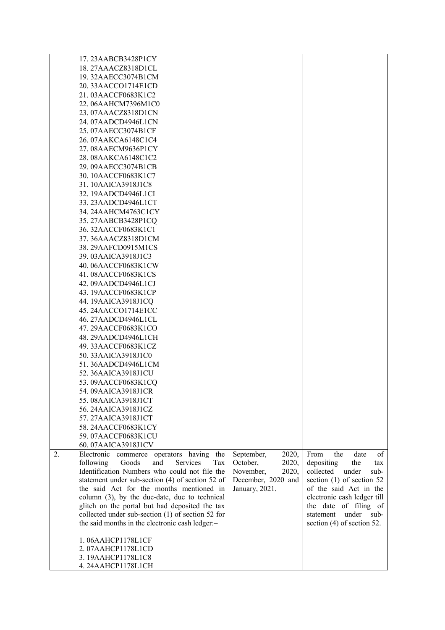|    | 17. 23AABCB3428P1CY                                                                                  |                     |                              |
|----|------------------------------------------------------------------------------------------------------|---------------------|------------------------------|
|    | 18. 27AAACZ8318D1CL                                                                                  |                     |                              |
|    | 19.32AAECC3074B1CM                                                                                   |                     |                              |
|    | 20.33AACCO1714E1CD                                                                                   |                     |                              |
|    | 21.03AACCF0683K1C2                                                                                   |                     |                              |
|    | 22.06AAHCM7396M1C0                                                                                   |                     |                              |
|    | 23.07AAACZ8318D1CN                                                                                   |                     |                              |
|    | 24.07AADCD4946L1CN                                                                                   |                     |                              |
|    |                                                                                                      |                     |                              |
|    | 25.07AAECC3074B1CF                                                                                   |                     |                              |
|    | 26.07AAKCA6148C1C4                                                                                   |                     |                              |
|    | 27.08AAECM9636P1CY                                                                                   |                     |                              |
|    | 28.08AAKCA6148C1C2                                                                                   |                     |                              |
|    | 29.09AAECC3074B1CB                                                                                   |                     |                              |
|    | 30. 10AACCF0683K1C7                                                                                  |                     |                              |
|    | 31.10AAICA3918J1C8                                                                                   |                     |                              |
|    | 32. 19AADCD4946L1CI                                                                                  |                     |                              |
|    | 33. 23AADCD4946L1CT                                                                                  |                     |                              |
|    | 34. 24AAHCM4763C1CY                                                                                  |                     |                              |
|    | 35. 27AABCB3428P1CQ                                                                                  |                     |                              |
|    | 36. 32AACCF0683K1C1                                                                                  |                     |                              |
|    | 37. 36AAACZ8318D1CM                                                                                  |                     |                              |
|    | 38. 29AAFCD0915M1CS                                                                                  |                     |                              |
|    | 39.03AAICA3918J1C3                                                                                   |                     |                              |
|    | 40.06AACCF0683K1CW                                                                                   |                     |                              |
|    | 41.08AACCF0683K1CS                                                                                   |                     |                              |
|    | 42.09AADCD4946L1CJ                                                                                   |                     |                              |
|    | 43. 19AACCF0683K1CP                                                                                  |                     |                              |
|    | 44. 19AAICA3918J1CQ                                                                                  |                     |                              |
|    | 45. 24AACCO1714E1CC                                                                                  |                     |                              |
|    | 46. 27AADCD4946L1CL                                                                                  |                     |                              |
|    | 47. 29AACCF0683K1CO                                                                                  |                     |                              |
|    | 48. 29AADCD4946L1CH                                                                                  |                     |                              |
|    | 49. 33AACCF0683K1CZ                                                                                  |                     |                              |
|    | 50. 33AAICA3918J1C0                                                                                  |                     |                              |
|    | 51.36AADCD4946L1CM                                                                                   |                     |                              |
|    | 52. 36AAICA3918J1CU                                                                                  |                     |                              |
|    | 53.09AACCF0683K1CQ                                                                                   |                     |                              |
|    | 54.09AAICA3918J1CR                                                                                   |                     |                              |
|    | 55.08AAICA3918J1CT                                                                                   |                     |                              |
|    | 56. 24AAICA3918J1CZ                                                                                  |                     |                              |
|    | 57.27AAICA3918J1CT                                                                                   |                     |                              |
|    | 58. 24AACCF0683K1CY                                                                                  |                     |                              |
|    | 59.07AACCF0683K1CU                                                                                   |                     |                              |
|    | 60.07AAICA3918J1CV                                                                                   |                     |                              |
| 2. |                                                                                                      | September,<br>2020, | From<br>the<br>date<br>of    |
|    | Electronic<br>the<br>commerce<br>operators<br>having<br>following<br>Goods<br>and<br>Services<br>Tax | October,<br>2020,   | depositing<br>the<br>tax     |
|    | Identification Numbers who could not file the                                                        | November,<br>2020,  | collected<br>under<br>sub-   |
|    | statement under sub-section (4) of section 52 of                                                     | December, 2020 and  | section $(1)$ of section 52  |
|    | the said Act for the months mentioned in                                                             | January, 2021.      | of the said Act in the       |
|    | column (3), by the due-date, due to technical                                                        |                     | electronic cash ledger till  |
|    | glitch on the portal but had deposited the tax                                                       |                     | the date of filing of        |
|    | collected under sub-section $(1)$ of section 52 for                                                  |                     | under<br>sub-<br>statement   |
|    | the said months in the electronic cash ledger:-                                                      |                     | section $(4)$ of section 52. |
|    |                                                                                                      |                     |                              |
|    | 1.06AAHCP1178L1CF                                                                                    |                     |                              |
|    | 2.07AAHCP1178L1CD                                                                                    |                     |                              |
|    | 3. 19AAHCP1178L1C8                                                                                   |                     |                              |
|    | 4.24AAHCP1178L1CH                                                                                    |                     |                              |